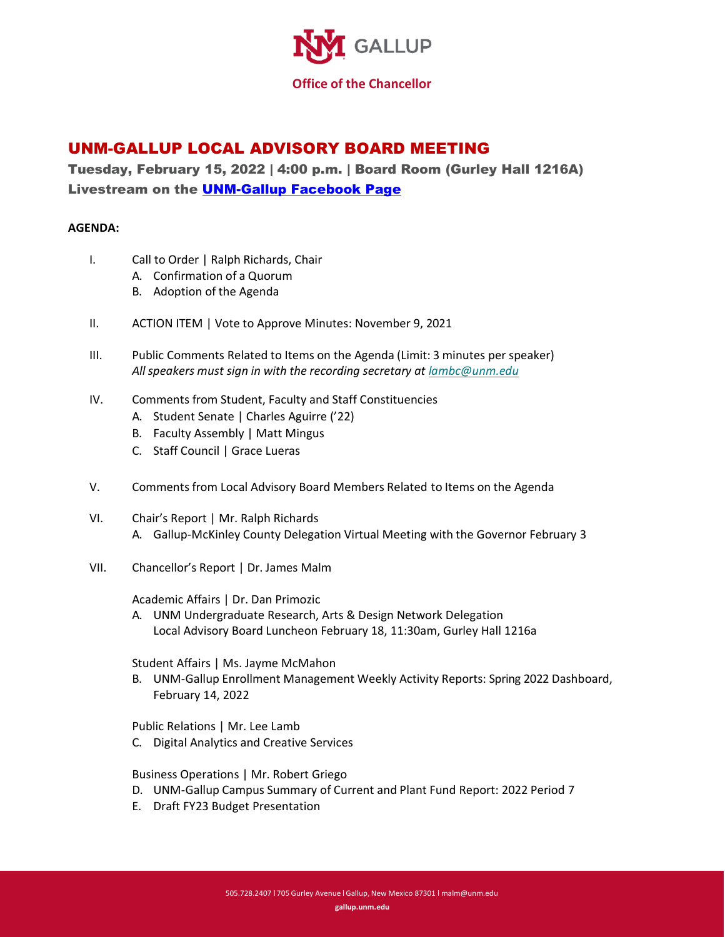

## UNM-GALLUP LOCAL ADVISORY BOARD MEETING

Tuesday, February 15, 2022 | 4:00 p.m. | Board Room (Gurley Hall 1216A) Livestream on the [UNM-Gallup Facebook Page](https://fb.me/e/35efwCPD8)

## **AGENDA:**

- I. Call to Order | Ralph Richards, Chair
	- A. Confirmation of a Quorum
	- B. Adoption of the Agenda
- II. ACTION ITEM | Vote to Approve Minutes: November 9, 2021
- III. Public Comments Related to Items on the Agenda (Limit: 3 minutes per speaker) *All speakers must sign in with the recording secretary at [lambc@unm.edu](mailto:lambc@unm.edu)*
- IV. Comments from Student, Faculty and Staff Constituencies
	- A. Student Senate | Charles Aguirre ('22)
	- B. Faculty Assembly | Matt Mingus
	- C. Staff Council | Grace Lueras
- V. Comments from Local Advisory Board Members Related to Items on the Agenda
- VI. Chair's Report | Mr. Ralph Richards A. Gallup-McKinley County Delegation Virtual Meeting with the Governor February 3
- VII. Chancellor's Report | Dr. James Malm

Academic Affairs | Dr. Dan Primozic

A. UNM Undergraduate Research, Arts & Design Network Delegation Local Advisory Board Luncheon February 18, 11:30am, Gurley Hall 1216a

Student Affairs | Ms. Jayme McMahon

B. UNM-Gallup Enrollment Management Weekly Activity Reports: Spring 2022 Dashboard, February 14, 2022

Public Relations | Mr. Lee Lamb

C. Digital Analytics and Creative Services

Business Operations | Mr. Robert Griego

- D. UNM-Gallup Campus Summary of Current and Plant Fund Report: 2022 Period 7
- E. Draft FY23 Budget Presentation